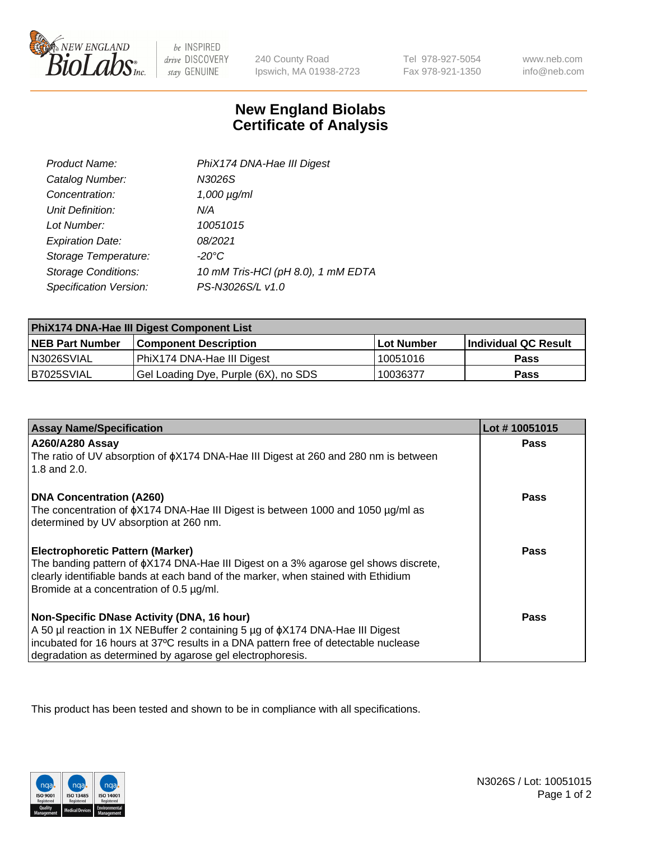

 $be$  INSPIRED drive DISCOVERY stay GENUINE

240 County Road Ipswich, MA 01938-2723

Tel 978-927-5054 Fax 978-921-1350

www.neb.com info@neb.com

## **New England Biolabs Certificate of Analysis**

| Product Name:              | PhiX174 DNA-Hae III Digest         |
|----------------------------|------------------------------------|
| Catalog Number:            | N3026S                             |
| Concentration:             | $1,000 \mu g/ml$                   |
| Unit Definition:           | N/A                                |
| Lot Number:                | 10051015                           |
| <b>Expiration Date:</b>    | 08/2021                            |
| Storage Temperature:       | $-20^{\circ}$ C                    |
| <b>Storage Conditions:</b> | 10 mM Tris-HCl (pH 8.0), 1 mM EDTA |
| Specification Version:     | PS-N3026S/L v1.0                   |

| PhiX174 DNA-Hae III Digest Component List |                                      |            |                      |  |
|-------------------------------------------|--------------------------------------|------------|----------------------|--|
| <b>NEB Part Number</b>                    | <b>Component Description</b>         | Lot Number | Individual QC Result |  |
| N3026SVIAL                                | PhiX174 DNA-Hae III Digest           | 10051016   | <b>Pass</b>          |  |
| B7025SVIAL                                | Gel Loading Dye, Purple (6X), no SDS | 10036377   | <b>Pass</b>          |  |

| <b>Assay Name/Specification</b>                                                                                               | Lot #10051015 |
|-------------------------------------------------------------------------------------------------------------------------------|---------------|
| A260/A280 Assay<br>The ratio of UV absorption of $\phi$ X174 DNA-Hae III Digest at 260 and 280 nm is between                  | <b>Pass</b>   |
| 1.8 and $2.0$ .                                                                                                               |               |
| <b>DNA Concentration (A260)</b>                                                                                               | Pass          |
| The concentration of $\phi$ X174 DNA-Hae III Digest is between 1000 and 1050 µg/ml as                                         |               |
| determined by UV absorption at 260 nm.                                                                                        |               |
| <b>Electrophoretic Pattern (Marker)</b>                                                                                       | Pass          |
| The banding pattern of $\phi$ X174 DNA-Hae III Digest on a 3% agarose gel shows discrete,                                     |               |
| clearly identifiable bands at each band of the marker, when stained with Ethidium<br>Bromide at a concentration of 0.5 µg/ml. |               |
|                                                                                                                               |               |
| Non-Specific DNase Activity (DNA, 16 hour)                                                                                    | Pass          |
| A 50 µl reaction in 1X NEBuffer 2 containing 5 µg of $\phi$ X174 DNA-Hae III Digest                                           |               |
| incubated for 16 hours at 37°C results in a DNA pattern free of detectable nuclease                                           |               |
| degradation as determined by agarose gel electrophoresis.                                                                     |               |

This product has been tested and shown to be in compliance with all specifications.